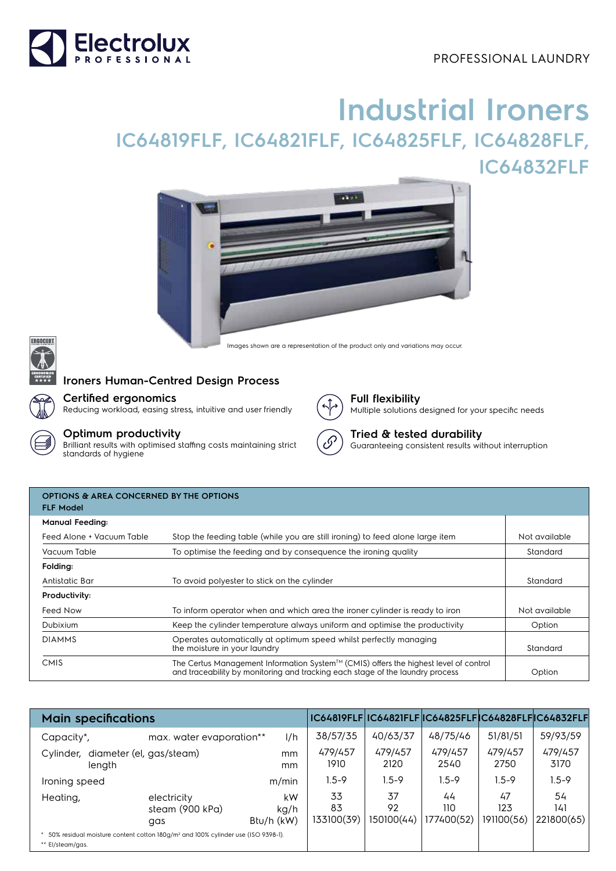## PROFESSIONAL LAUNDRY



# **Industrial Ironers IC64819FLF, IC64821FLF, IC64825FLF, IC64828FLF, IC64832FLF**







# **Ironers Human-Centred Design Process**



#### **Certified ergonomics**

Reducing workload, easing stress, intuitive and user friendly

### **Optimum productivity**

Brilliant results with optimised staffing costs maintaining strict standards of hygiene



#### **Full flexibility** Multiple solutions designed for your specific needs

**Tried & tested durability**

Guaranteeing consistent results without interruption

| <b>OPTIONS &amp; AREA CONCERNED BY THE OPTIONS</b><br><b>FLF Model</b> |                                                                                                                                                                                                 |               |  |  |  |  |  |
|------------------------------------------------------------------------|-------------------------------------------------------------------------------------------------------------------------------------------------------------------------------------------------|---------------|--|--|--|--|--|
| <b>Manual Feeding:</b>                                                 |                                                                                                                                                                                                 |               |  |  |  |  |  |
| Feed Alone + Vacuum Table                                              | Stop the feeding table (while you are still ironing) to feed alone large item                                                                                                                   | Not available |  |  |  |  |  |
| Vacuum Table                                                           | To optimise the feeding and by consequence the ironing quality                                                                                                                                  | Standard      |  |  |  |  |  |
| Folding:                                                               |                                                                                                                                                                                                 |               |  |  |  |  |  |
| Antistatic Bar                                                         | To avoid polyester to stick on the cylinder                                                                                                                                                     | Standard      |  |  |  |  |  |
| Productivity:                                                          |                                                                                                                                                                                                 |               |  |  |  |  |  |
| Feed Now                                                               | To inform operator when and which area the ironer cylinder is ready to iron                                                                                                                     | Not available |  |  |  |  |  |
| Dubixium                                                               | Keep the cylinder temperature always uniform and optimise the productivity                                                                                                                      | Option        |  |  |  |  |  |
| <b>DIAMMS</b>                                                          | Operates automatically at optimum speed whilst perfectly managing<br>the moisture in your laundry                                                                                               | Standard      |  |  |  |  |  |
| <b>CMIS</b>                                                            | The Certus Management Information System <sup><math>TM</math></sup> (CMIS) offers the highest level of control<br>and traceability by monitoring and tracking each stage of the laundry process | Option        |  |  |  |  |  |

| <b>Main specifications</b>                                                                                       |                                       |                          |                        | IC64819FLF IC64821FLF IC64825FLF IC64828FLF IC64832FLF |                         |                         |                         |
|------------------------------------------------------------------------------------------------------------------|---------------------------------------|--------------------------|------------------------|--------------------------------------------------------|-------------------------|-------------------------|-------------------------|
| Capacity*,                                                                                                       | max. water evaporation**              | 1/h                      | 38/57/35               | 40/63/37                                               | 48/75/46                | 51/81/51                | 59/93/59                |
| Cylinder, diameter (el, gas/steam)<br>length                                                                     |                                       | mm<br>mm                 | 479/457<br>1910        | 479/457<br>2120                                        | 479/457<br>2540         | 479/457<br>2750         | 479/457<br>3170         |
| Ironing speed                                                                                                    |                                       | m/min                    | $1.5 - 9$              | $1.5 - 9$                                              | $1.5 - 9$               | $1.5 - 9$               | $1.5 - 9$               |
| Heating,                                                                                                         | electricity<br>steam (900 kPa)<br>gas | kW<br>kg/h<br>Btu/h (kW) | 33<br>83<br>133100(39) | 37<br>92<br>150100(44)                                 | 44<br>110<br>177400(52) | 47<br>123<br>191100(56) | 54<br>141<br>221800(65) |
| 50% residual moisture content cotton 180q/m <sup>2</sup> and 100% cylinder use (ISO 9398-1).<br>** El/steam/gas. |                                       |                          |                        |                                                        |                         |                         |                         |